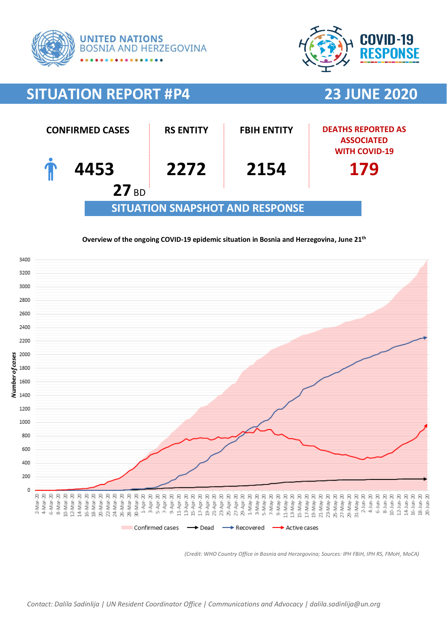



# **SITUATION REPORT #P4 23 JUNE 2020**



### **Overview of the ongoing COVID-19 epidemic situation in Bosnia and Herzegovina, June 21th**



*(Credit: WHO Country Office in Bosnia and Herzegovina; Sources: IPH FBiH, IPH RS, FMoH, MoCA)*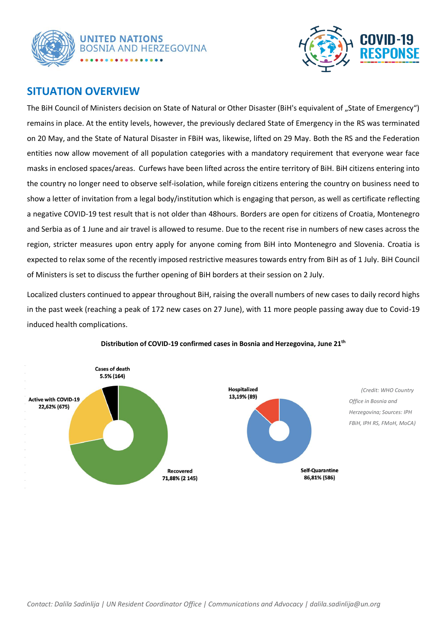



### **SITUATION OVERVIEW**

The BiH Council of Ministers decision on State of Natural or Other Disaster (BiH's equivalent of "State of Emergency") remains in place. At the entity levels, however, the previously declared State of Emergency in the RS was terminated on 20 May, and the State of Natural Disaster in FBiH was, likewise, lifted on 29 May. Both the RS and the Federation entities now allow movement of all population categories with a mandatory requirement that everyone wear face masks in enclosed spaces/areas. Curfews have been lifted across the entire territory of BiH. BiH citizens entering into the country no longer need to observe self-isolation, while foreign citizens entering the country on business need to show a letter of invitation from a legal body/institution which is engaging that person, as well as certificate reflecting a negative COVID-19 test result that is not older than 48hours. Borders are open for citizens of Croatia, Montenegro and Serbia as of 1 June and air travel is allowed to resume. Due to the recent rise in numbers of new cases across the region, stricter measures upon entry apply for anyone coming from BiH into Montenegro and Slovenia. Croatia is expected to relax some of the recently imposed restrictive measures towards entry from BiH as of 1 July. BiH Council of Ministers is set to discuss the further opening of BiH borders at their session on 2 July.

Localized clusters continued to appear throughout BiH, raising the overall numbers of new cases to daily record highs in the past week (reaching a peak of 172 new cases on 27 June), with 11 more people passing away due to Covid-19 induced health complications.



### **Distribution of COVID-19 confirmed cases in Bosnia and Herzegovina, June 21th**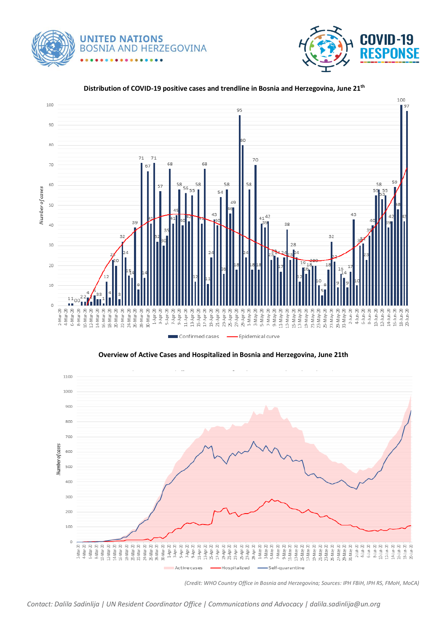**UNITED NATIONS BOSNIA AND HERZEGOVINA** 





#### **Distribution of COVID-19 positive cases and trendline in Bosnia and Herzegovina, June 21th**



*(Credit: WHO Country Office in Bosnia and Herzegovina; Sources: IPH FBiH, IPH RS, FMoH, MoCA)*

*Contact: Dalila Sadinlija | UN Resident Coordinator Office | Communications and Advocacy | dalila.sadinlija@un.org*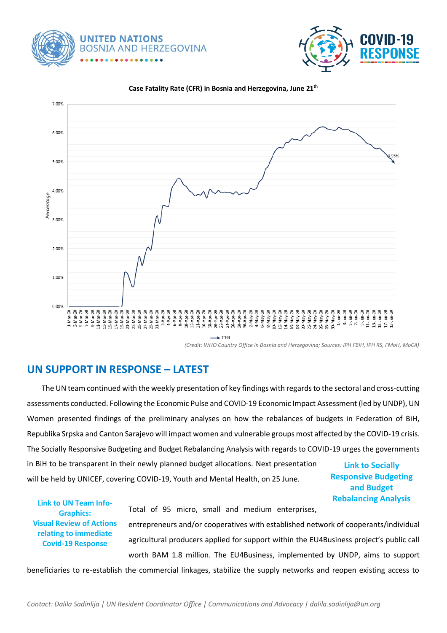





**Case Fatality Rate (CFR) in Bosnia and Herzegovina, June 21th**

*(Credit: WHO Country Office in Bosnia and Herzegovina; Sources: IPH FBiH, IPH RS, FMoH, MoCA)*

## **UN SUPPORT IN RESPONSE – LATEST**

 The UN team continued with the weekly presentation of key findings with regards to the sectoral and cross-cutting assessments conducted. Following the Economic Pulse and COVID-19 Economic Impact Assessment (led by UNDP), UN Women presented findings of the preliminary analyses on how the rebalances of budgets in Federation of BiH, Republika Srpska and Canton Sarajevo will impact women and vulnerable groups most affected by the COVID-19 crisis. The Socially Responsive Budgeting and Budget Rebalancing Analysis with regards to COVID-19 urges the governments in BiH to be transparent in their newly planned budget allocations. Next presentation will be held by UNICEF, covering COVID-19, Youth and Mental Health, on 25 June. **Link to [Socially](https://bosniaherzegovina.un.org/en/49788-budgets-bih-need-be-socially-responsive-especially-light-covid-19-crisis)  [Responsive Budgeting](https://bosniaherzegovina.un.org/en/49788-budgets-bih-need-be-socially-responsive-especially-light-covid-19-crisis)** 

**[and Budget](https://bosniaherzegovina.un.org/en/49788-budgets-bih-need-be-socially-responsive-especially-light-covid-19-crisis)  [Rebalancing Analysis](https://bosniaherzegovina.un.org/en/49788-budgets-bih-need-be-socially-responsive-especially-light-covid-19-crisis) [Link to UN Team Info-](https://bosniaherzegovina.un.org/en/49700-coordinating-multi-sectoral-covid-19-response-recovery-bosnia-and-herzegovina)**

**[Graphics:](https://bosniaherzegovina.un.org/en/49700-coordinating-multi-sectoral-covid-19-response-recovery-bosnia-and-herzegovina) [Visual Review of Actions](https://bosniaherzegovina.un.org/en/49700-coordinating-multi-sectoral-covid-19-response-recovery-bosnia-and-herzegovina)  [relating to immediate](https://bosniaherzegovina.un.org/en/49700-coordinating-multi-sectoral-covid-19-response-recovery-bosnia-and-herzegovina)  [Covid-19 Response](https://bosniaherzegovina.un.org/en/49700-coordinating-multi-sectoral-covid-19-response-recovery-bosnia-and-herzegovina)**

Total of 95 micro, small and medium enterprises, entrepreneurs and/or cooperatives with established network of cooperants/individual agricultural producers applied for support within the EU4Business project's public call worth BAM 1.8 million. The EU4Business, implemented by UNDP, aims to support

beneficiaries to re-establish the commercial linkages, stabilize the supply networks and reopen existing access to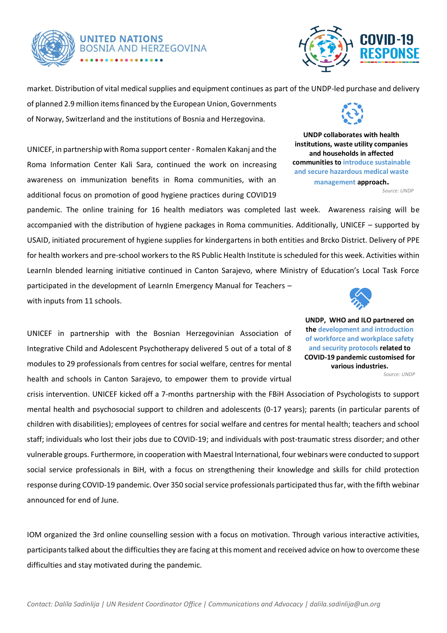

# **UNITED NATIONS BOSNIA AND HERZEGOVINA**



market. Distribution of vital medical supplies and equipment continues as part of the UNDP-led purchase and delivery

of planned 2.9 million items financed by the European Union, Governments of Norway, Switzerland and the institutions of Bosnia and Herzegovina.

UNICEF, in partnership with Roma support center - Romalen Kakanj and the Roma Information Center Kali Sara, continued the work on increasing awareness on immunization benefits in Roma communities, with an additional focus on promotion of good hygiene practices during COVID19

pandemic. The online training for 16 health mediators was completed last week. Awareness raising will be accompanied with the distribution of hygiene packages in Roma communities. Additionally, UNICEF – supported by USAID, initiated procurement of hygiene supplies for kindergartens in both entities and Brcko District. Delivery of PPE for health workers and pre-school workers to the RS Public Health Institute is scheduled for this week. Activities within LearnIn blended learning initiative continued in Canton Sarajevo, where Ministry of Education's Local Task Force participated in the development of LearnIn Emergency Manual for Teachers with inputs from 11 schools.

UNICEF in partnership with the Bosnian Herzegovinian Association of Integrative Child and Adolescent Psychotherapy delivered 5 out of a total of 8 modules to 29 professionals from centres for social welfare, centres for mental health and schools in Canton Sarajevo, to empower them to provide virtual

crisis intervention. UNICEF kicked off a 7-months partnership with the FBiH Association of Psychologists to support mental health and psychosocial support to children and adolescents (0-17 years); parents (in particular parents of children with disabilities); employees of centres for social welfare and centres for mental health; teachers and school staff; individuals who lost their jobs due to COVID-19; and individuals with post-traumatic stress disorder; and other vulnerable groups. Furthermore, in cooperation with Maestral International, four webinars were conducted to support social service professionals in BiH, with a focus on strengthening their knowledge and skills for child protection response during COVID-19 pandemic. Over 350 social service professionals participated thus far, with the fifth webinar announced for end of June. within the household, inadequate r parents c

IOM organized the 3rd online counselling session with a focus on motivation. Through various interactive activities, participants talked about the difficulties they are facing at this moment and received advice on how to overcome these difficulties and stay motivated during the pandemic.



**UNDP collaborates with health institutions, waste utility companies and households in affected communities to introduce sustainable and secure hazardous medical waste management approach.** *Source: UNDP*



**UNDP, WHO and ILO partnered on the development and introduction of workforce and workplace safety and security protocols related to COVID-19 pandemic customised for various industries.** *Source: UNDP*